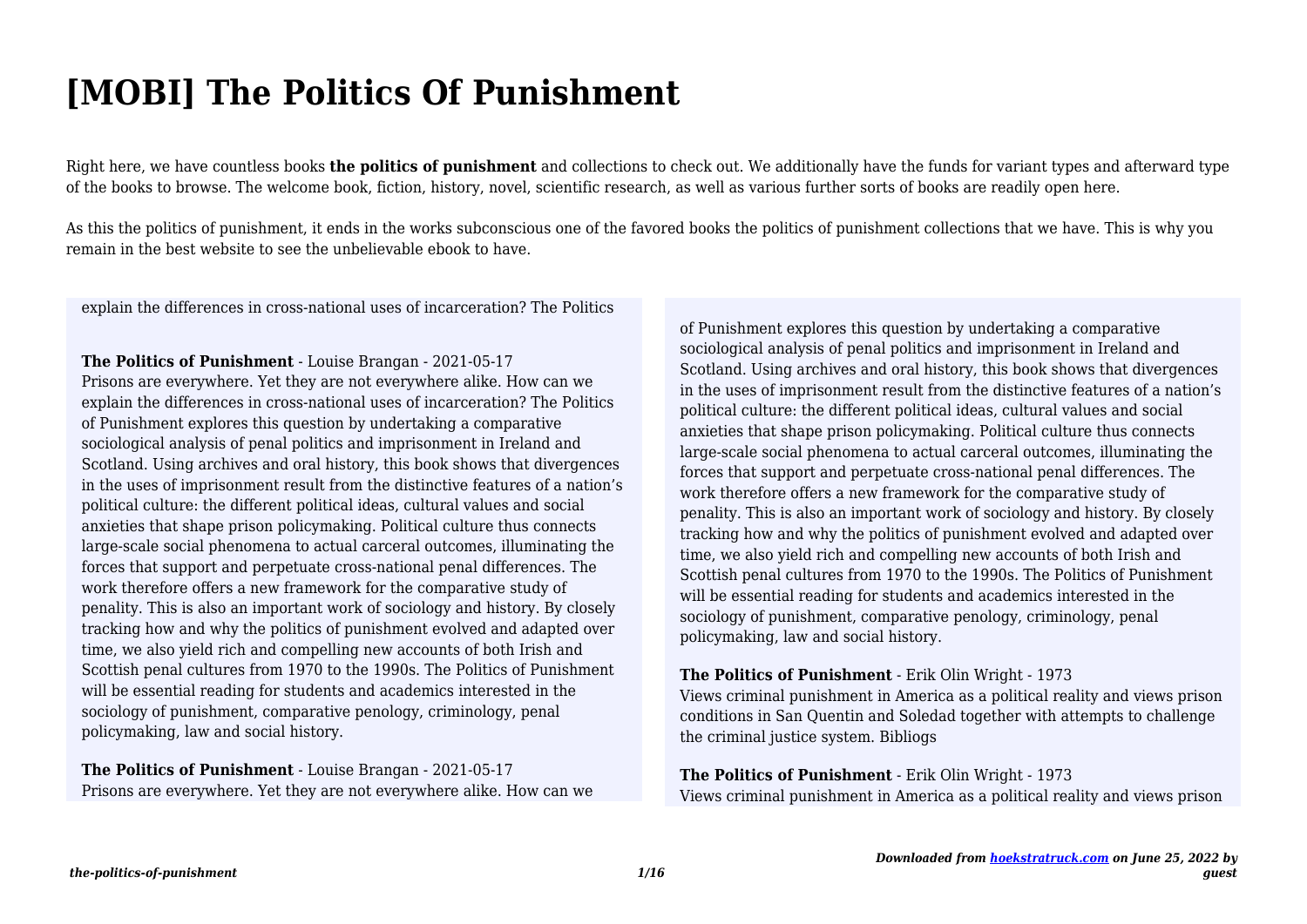# **[MOBI] The Politics Of Punishment**

Right here, we have countless books **the politics of punishment** and collections to check out. We additionally have the funds for variant types and afterward type of the books to browse. The welcome book, fiction, history, novel, scientific research, as well as various further sorts of books are readily open here.

As this the politics of punishment, it ends in the works subconscious one of the favored books the politics of punishment collections that we have. This is why you remain in the best website to see the unbelievable ebook to have.

explain the differences in cross-national uses of incarceration? The Politics

**The Politics of Punishment** - Louise Brangan - 2021-05-17 Prisons are everywhere. Yet they are not everywhere alike. How can we explain the differences in cross-national uses of incarceration? The Politics of Punishment explores this question by undertaking a comparative sociological analysis of penal politics and imprisonment in Ireland and Scotland. Using archives and oral history, this book shows that divergences in the uses of imprisonment result from the distinctive features of a nation's political culture: the different political ideas, cultural values and social anxieties that shape prison policymaking. Political culture thus connects large-scale social phenomena to actual carceral outcomes, illuminating the forces that support and perpetuate cross-national penal differences. The work therefore offers a new framework for the comparative study of penality. This is also an important work of sociology and history. By closely tracking how and why the politics of punishment evolved and adapted over time, we also yield rich and compelling new accounts of both Irish and Scottish penal cultures from 1970 to the 1990s. The Politics of Punishment will be essential reading for students and academics interested in the sociology of punishment, comparative penology, criminology, penal policymaking, law and social history.

**The Politics of Punishment** - Louise Brangan - 2021-05-17 Prisons are everywhere. Yet they are not everywhere alike. How can we of Punishment explores this question by undertaking a comparative sociological analysis of penal politics and imprisonment in Ireland and Scotland. Using archives and oral history, this book shows that divergences in the uses of imprisonment result from the distinctive features of a nation's political culture: the different political ideas, cultural values and social anxieties that shape prison policymaking. Political culture thus connects large-scale social phenomena to actual carceral outcomes, illuminating the forces that support and perpetuate cross-national penal differences. The work therefore offers a new framework for the comparative study of penality. This is also an important work of sociology and history. By closely tracking how and why the politics of punishment evolved and adapted over time, we also yield rich and compelling new accounts of both Irish and Scottish penal cultures from 1970 to the 1990s. The Politics of Punishment will be essential reading for students and academics interested in the sociology of punishment, comparative penology, criminology, penal policymaking, law and social history.

#### **The Politics of Punishment** - Erik Olin Wright - 1973

Views criminal punishment in America as a political reality and views prison conditions in San Quentin and Soledad together with attempts to challenge the criminal justice system. Bibliogs

#### **The Politics of Punishment** - Erik Olin Wright - 1973

Views criminal punishment in America as a political reality and views prison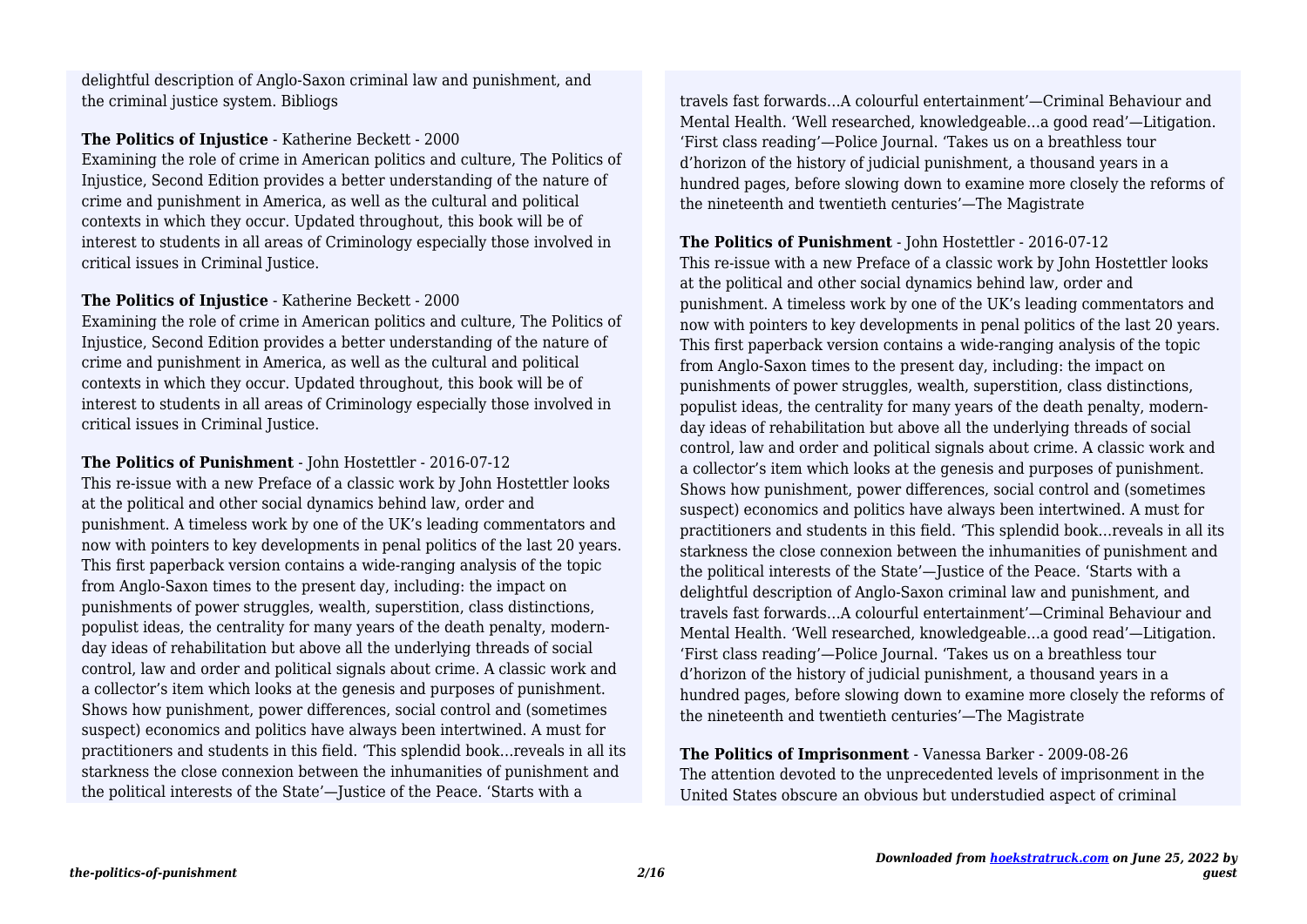the criminal justice system. Bibliogs delightful description of Anglo-Saxon criminal law and punishment, and

#### **The Politics of Injustice** - Katherine Beckett - 2000

Examining the role of crime in American politics and culture, The Politics of Injustice, Second Edition provides a better understanding of the nature of crime and punishment in America, as well as the cultural and political contexts in which they occur. Updated throughout, this book will be of interest to students in all areas of Criminology especially those involved in critical issues in Criminal Justice.

#### **The Politics of Injustice** - Katherine Beckett - 2000

Examining the role of crime in American politics and culture, The Politics of Injustice, Second Edition provides a better understanding of the nature of crime and punishment in America, as well as the cultural and political contexts in which they occur. Updated throughout, this book will be of interest to students in all areas of Criminology especially those involved in critical issues in Criminal Justice.

**The Politics of Punishment** - John Hostettler - 2016-07-12 This re-issue with a new Preface of a classic work by John Hostettler looks at the political and other social dynamics behind law, order and punishment. A timeless work by one of the UK's leading commentators and now with pointers to key developments in penal politics of the last 20 years. This first paperback version contains a wide-ranging analysis of the topic from Anglo-Saxon times to the present day, including: the impact on punishments of power struggles, wealth, superstition, class distinctions, populist ideas, the centrality for many years of the death penalty, modernday ideas of rehabilitation but above all the underlying threads of social control, law and order and political signals about crime. A classic work and a collector's item which looks at the genesis and purposes of punishment. Shows how punishment, power differences, social control and (sometimes suspect) economics and politics have always been intertwined. A must for practitioners and students in this field. 'This splendid book…reveals in all its starkness the close connexion between the inhumanities of punishment and the political interests of the State'—Justice of the Peace. 'Starts with a

travels fast forwards…A colourful entertainment'—Criminal Behaviour and Mental Health. 'Well researched, knowledgeable…a good read'—Litigation. 'First class reading'—Police Journal. 'Takes us on a breathless tour d'horizon of the history of judicial punishment, a thousand years in a hundred pages, before slowing down to examine more closely the reforms of the nineteenth and twentieth centuries'—The Magistrate

#### **The Politics of Punishment** - John Hostettler - 2016-07-12

This re-issue with a new Preface of a classic work by John Hostettler looks at the political and other social dynamics behind law, order and punishment. A timeless work by one of the UK's leading commentators and now with pointers to key developments in penal politics of the last 20 years. This first paperback version contains a wide-ranging analysis of the topic from Anglo-Saxon times to the present day, including: the impact on punishments of power struggles, wealth, superstition, class distinctions, populist ideas, the centrality for many years of the death penalty, modernday ideas of rehabilitation but above all the underlying threads of social control, law and order and political signals about crime. A classic work and a collector's item which looks at the genesis and purposes of punishment. Shows how punishment, power differences, social control and (sometimes suspect) economics and politics have always been intertwined. A must for practitioners and students in this field. 'This splendid book…reveals in all its starkness the close connexion between the inhumanities of punishment and the political interests of the State'—Justice of the Peace. 'Starts with a delightful description of Anglo-Saxon criminal law and punishment, and travels fast forwards…A colourful entertainment'—Criminal Behaviour and Mental Health. 'Well researched, knowledgeable…a good read'—Litigation. 'First class reading'—Police Journal. 'Takes us on a breathless tour d'horizon of the history of judicial punishment, a thousand years in a hundred pages, before slowing down to examine more closely the reforms of the nineteenth and twentieth centuries'—The Magistrate

**The Politics of Imprisonment** - Vanessa Barker - 2009-08-26 The attention devoted to the unprecedented levels of imprisonment in the United States obscure an obvious but understudied aspect of criminal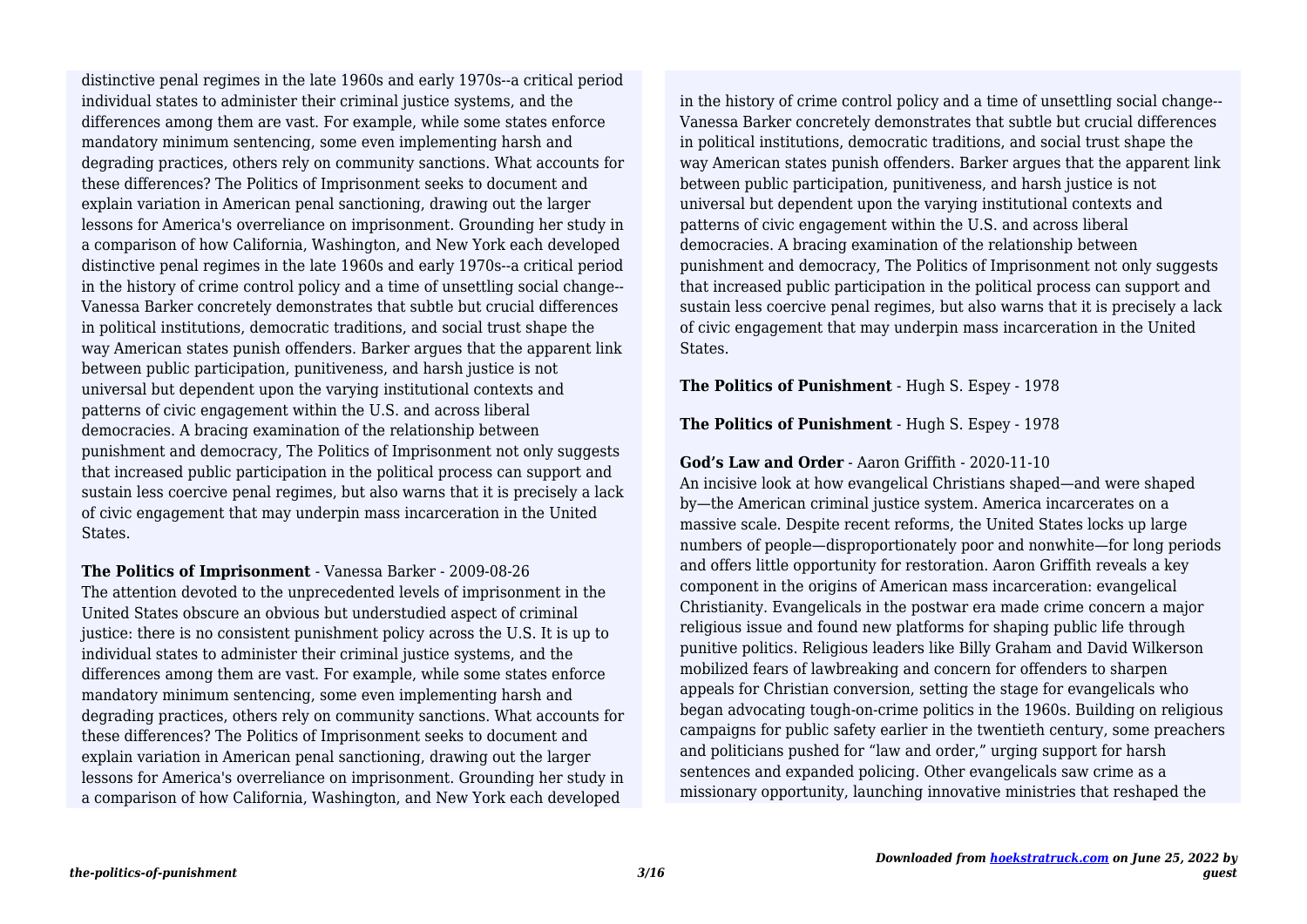individual states to administer their criminal justice systems, and the differences among them are vast. For example, while some states enforce mandatory minimum sentencing, some even implementing harsh and degrading practices, others rely on community sanctions. What accounts for these differences? The Politics of Imprisonment seeks to document and explain variation in American penal sanctioning, drawing out the larger lessons for America's overreliance on imprisonment. Grounding her study in a comparison of how California, Washington, and New York each developed distinctive penal regimes in the late 1960s and early 1970s--a critical period in the history of crime control policy and a time of unsettling social change-- Vanessa Barker concretely demonstrates that subtle but crucial differences in political institutions, democratic traditions, and social trust shape the way American states punish offenders. Barker argues that the apparent link between public participation, punitiveness, and harsh justice is not universal but dependent upon the varying institutional contexts and patterns of civic engagement within the U.S. and across liberal democracies. A bracing examination of the relationship between punishment and democracy, The Politics of Imprisonment not only suggests that increased public participation in the political process can support and sustain less coercive penal regimes, but also warns that it is precisely a lack of civic engagement that may underpin mass incarceration in the United **States** distinctive penal regimes in the late 1960s and early 1970s--a critical period

**The Politics of Imprisonment** - Vanessa Barker - 2009-08-26 The attention devoted to the unprecedented levels of imprisonment in the United States obscure an obvious but understudied aspect of criminal justice: there is no consistent punishment policy across the U.S. It is up to individual states to administer their criminal justice systems, and the differences among them are vast. For example, while some states enforce mandatory minimum sentencing, some even implementing harsh and degrading practices, others rely on community sanctions. What accounts for these differences? The Politics of Imprisonment seeks to document and explain variation in American penal sanctioning, drawing out the larger lessons for America's overreliance on imprisonment. Grounding her study in a comparison of how California, Washington, and New York each developed

in the history of crime control policy and a time of unsettling social change-- Vanessa Barker concretely demonstrates that subtle but crucial differences in political institutions, democratic traditions, and social trust shape the way American states punish offenders. Barker argues that the apparent link between public participation, punitiveness, and harsh justice is not universal but dependent upon the varying institutional contexts and patterns of civic engagement within the U.S. and across liberal democracies. A bracing examination of the relationship between punishment and democracy, The Politics of Imprisonment not only suggests that increased public participation in the political process can support and sustain less coercive penal regimes, but also warns that it is precisely a lack of civic engagement that may underpin mass incarceration in the United States.

**The Politics of Punishment** - Hugh S. Espey - 1978

**The Politics of Punishment** - Hugh S. Espey - 1978

#### **God's Law and Order** - Aaron Griffith - 2020-11-10

An incisive look at how evangelical Christians shaped—and were shaped by—the American criminal justice system. America incarcerates on a massive scale. Despite recent reforms, the United States locks up large numbers of people—disproportionately poor and nonwhite—for long periods and offers little opportunity for restoration. Aaron Griffith reveals a key component in the origins of American mass incarceration: evangelical Christianity. Evangelicals in the postwar era made crime concern a major religious issue and found new platforms for shaping public life through punitive politics. Religious leaders like Billy Graham and David Wilkerson mobilized fears of lawbreaking and concern for offenders to sharpen appeals for Christian conversion, setting the stage for evangelicals who began advocating tough-on-crime politics in the 1960s. Building on religious campaigns for public safety earlier in the twentieth century, some preachers and politicians pushed for "law and order," urging support for harsh sentences and expanded policing. Other evangelicals saw crime as a missionary opportunity, launching innovative ministries that reshaped the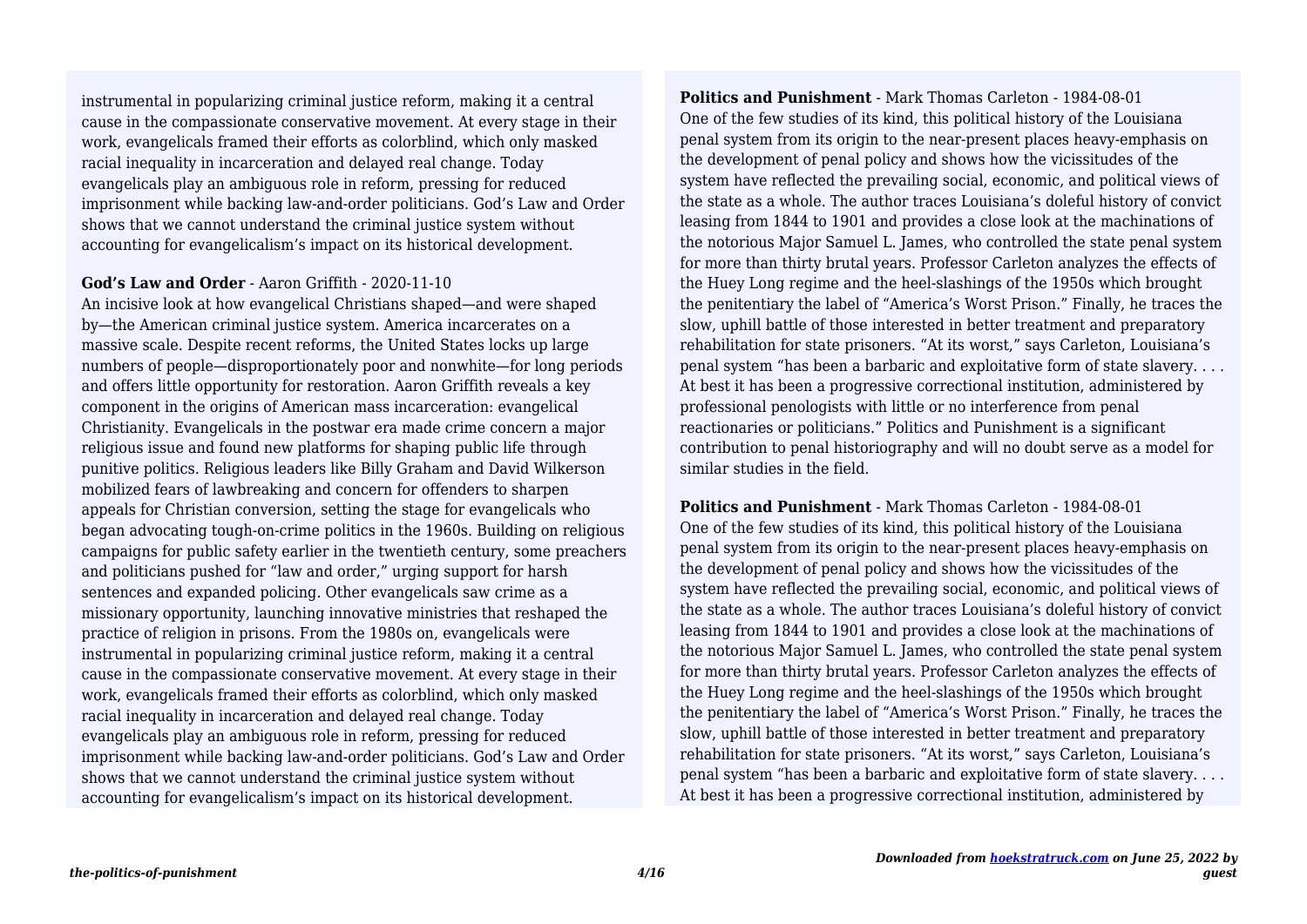instrumental in popularizing criminal justice reform, making it a central cause in the compassionate conservative movement. At every stage in their work, evangelicals framed their efforts as colorblind, which only masked racial inequality in incarceration and delayed real change. Today evangelicals play an ambiguous role in reform, pressing for reduced imprisonment while backing law-and-order politicians. God's Law and Order shows that we cannot understand the criminal justice system without accounting for evangelicalism's impact on its historical development.

#### **God's Law and Order** - Aaron Griffith - 2020-11-10

An incisive look at how evangelical Christians shaped—and were shaped by—the American criminal justice system. America incarcerates on a massive scale. Despite recent reforms, the United States locks up large numbers of people—disproportionately poor and nonwhite—for long periods and offers little opportunity for restoration. Aaron Griffith reveals a key component in the origins of American mass incarceration: evangelical Christianity. Evangelicals in the postwar era made crime concern a major religious issue and found new platforms for shaping public life through punitive politics. Religious leaders like Billy Graham and David Wilkerson mobilized fears of lawbreaking and concern for offenders to sharpen appeals for Christian conversion, setting the stage for evangelicals who began advocating tough-on-crime politics in the 1960s. Building on religious campaigns for public safety earlier in the twentieth century, some preachers and politicians pushed for "law and order," urging support for harsh sentences and expanded policing. Other evangelicals saw crime as a missionary opportunity, launching innovative ministries that reshaped the practice of religion in prisons. From the 1980s on, evangelicals were instrumental in popularizing criminal justice reform, making it a central cause in the compassionate conservative movement. At every stage in their work, evangelicals framed their efforts as colorblind, which only masked racial inequality in incarceration and delayed real change. Today evangelicals play an ambiguous role in reform, pressing for reduced imprisonment while backing law-and-order politicians. God's Law and Order shows that we cannot understand the criminal justice system without accounting for evangelicalism's impact on its historical development.

**Politics and Punishment** - Mark Thomas Carleton - 1984-08-01 One of the few studies of its kind, this political history of the Louisiana penal system from its origin to the near-present places heavy-emphasis on the development of penal policy and shows how the vicissitudes of the system have reflected the prevailing social, economic, and political views of the state as a whole. The author traces Louisiana's doleful history of convict leasing from 1844 to 1901 and provides a close look at the machinations of the notorious Major Samuel L. James, who controlled the state penal system for more than thirty brutal years. Professor Carleton analyzes the effects of the Huey Long regime and the heel-slashings of the 1950s which brought the penitentiary the label of "America's Worst Prison." Finally, he traces the slow, uphill battle of those interested in better treatment and preparatory rehabilitation for state prisoners. "At its worst," says Carleton, Louisiana's penal system "has been a barbaric and exploitative form of state slavery. . . . At best it has been a progressive correctional institution, administered by professional penologists with little or no interference from penal reactionaries or politicians." Politics and Punishment is a significant contribution to penal historiography and will no doubt serve as a model for similar studies in the field.

**Politics and Punishment** - Mark Thomas Carleton - 1984-08-01 One of the few studies of its kind, this political history of the Louisiana penal system from its origin to the near-present places heavy-emphasis on the development of penal policy and shows how the vicissitudes of the system have reflected the prevailing social, economic, and political views of the state as a whole. The author traces Louisiana's doleful history of convict leasing from 1844 to 1901 and provides a close look at the machinations of the notorious Major Samuel L. James, who controlled the state penal system for more than thirty brutal years. Professor Carleton analyzes the effects of the Huey Long regime and the heel-slashings of the 1950s which brought the penitentiary the label of "America's Worst Prison." Finally, he traces the slow, uphill battle of those interested in better treatment and preparatory rehabilitation for state prisoners. "At its worst," says Carleton, Louisiana's penal system "has been a barbaric and exploitative form of state slavery. . . . At best it has been a progressive correctional institution, administered by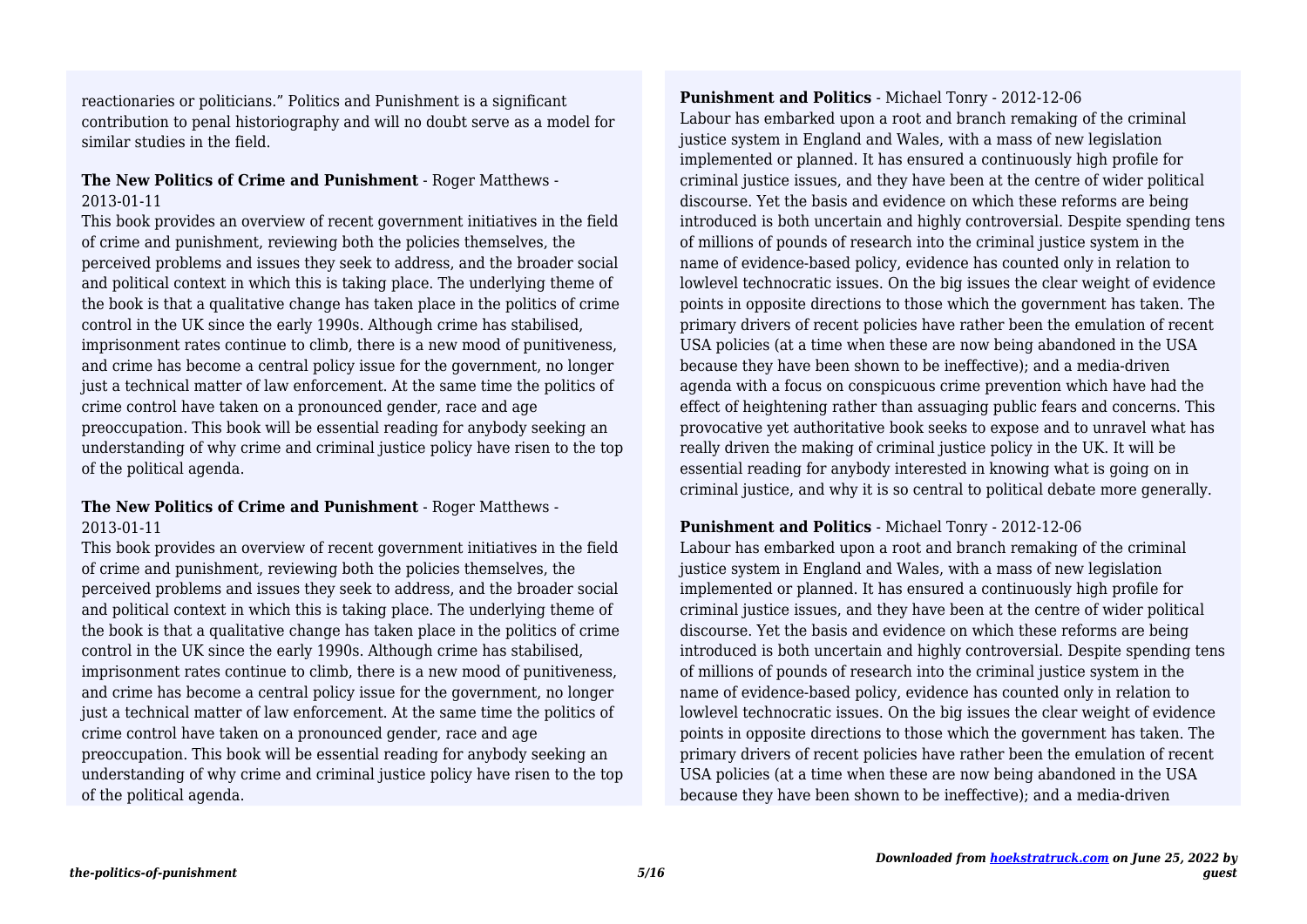reactionaries or politicians." Politics and Punishment is a significant contribution to penal historiography and will no doubt serve as a model for similar studies in the field.

# **The New Politics of Crime and Punishment** - Roger Matthews - 2013-01-11

This book provides an overview of recent government initiatives in the field of crime and punishment, reviewing both the policies themselves, the perceived problems and issues they seek to address, and the broader social and political context in which this is taking place. The underlying theme of the book is that a qualitative change has taken place in the politics of crime control in the UK since the early 1990s. Although crime has stabilised, imprisonment rates continue to climb, there is a new mood of punitiveness, and crime has become a central policy issue for the government, no longer just a technical matter of law enforcement. At the same time the politics of crime control have taken on a pronounced gender, race and age preoccupation. This book will be essential reading for anybody seeking an understanding of why crime and criminal justice policy have risen to the top of the political agenda.

# **The New Politics of Crime and Punishment** - Roger Matthews - 2013-01-11

This book provides an overview of recent government initiatives in the field of crime and punishment, reviewing both the policies themselves, the perceived problems and issues they seek to address, and the broader social and political context in which this is taking place. The underlying theme of the book is that a qualitative change has taken place in the politics of crime control in the UK since the early 1990s. Although crime has stabilised, imprisonment rates continue to climb, there is a new mood of punitiveness, and crime has become a central policy issue for the government, no longer just a technical matter of law enforcement. At the same time the politics of crime control have taken on a pronounced gender, race and age preoccupation. This book will be essential reading for anybody seeking an understanding of why crime and criminal justice policy have risen to the top of the political agenda.

**Punishment and Politics** - Michael Tonry - 2012-12-06 Labour has embarked upon a root and branch remaking of the criminal justice system in England and Wales, with a mass of new legislation implemented or planned. It has ensured a continuously high profile for criminal justice issues, and they have been at the centre of wider political discourse. Yet the basis and evidence on which these reforms are being introduced is both uncertain and highly controversial. Despite spending tens of millions of pounds of research into the criminal justice system in the name of evidence-based policy, evidence has counted only in relation to lowlevel technocratic issues. On the big issues the clear weight of evidence points in opposite directions to those which the government has taken. The primary drivers of recent policies have rather been the emulation of recent USA policies (at a time when these are now being abandoned in the USA because they have been shown to be ineffective); and a media-driven agenda with a focus on conspicuous crime prevention which have had the effect of heightening rather than assuaging public fears and concerns. This provocative yet authoritative book seeks to expose and to unravel what has really driven the making of criminal justice policy in the UK. It will be essential reading for anybody interested in knowing what is going on in criminal justice, and why it is so central to political debate more generally.

# **Punishment and Politics** - Michael Tonry - 2012-12-06

Labour has embarked upon a root and branch remaking of the criminal justice system in England and Wales, with a mass of new legislation implemented or planned. It has ensured a continuously high profile for criminal justice issues, and they have been at the centre of wider political discourse. Yet the basis and evidence on which these reforms are being introduced is both uncertain and highly controversial. Despite spending tens of millions of pounds of research into the criminal justice system in the name of evidence-based policy, evidence has counted only in relation to lowlevel technocratic issues. On the big issues the clear weight of evidence points in opposite directions to those which the government has taken. The primary drivers of recent policies have rather been the emulation of recent USA policies (at a time when these are now being abandoned in the USA because they have been shown to be ineffective); and a media-driven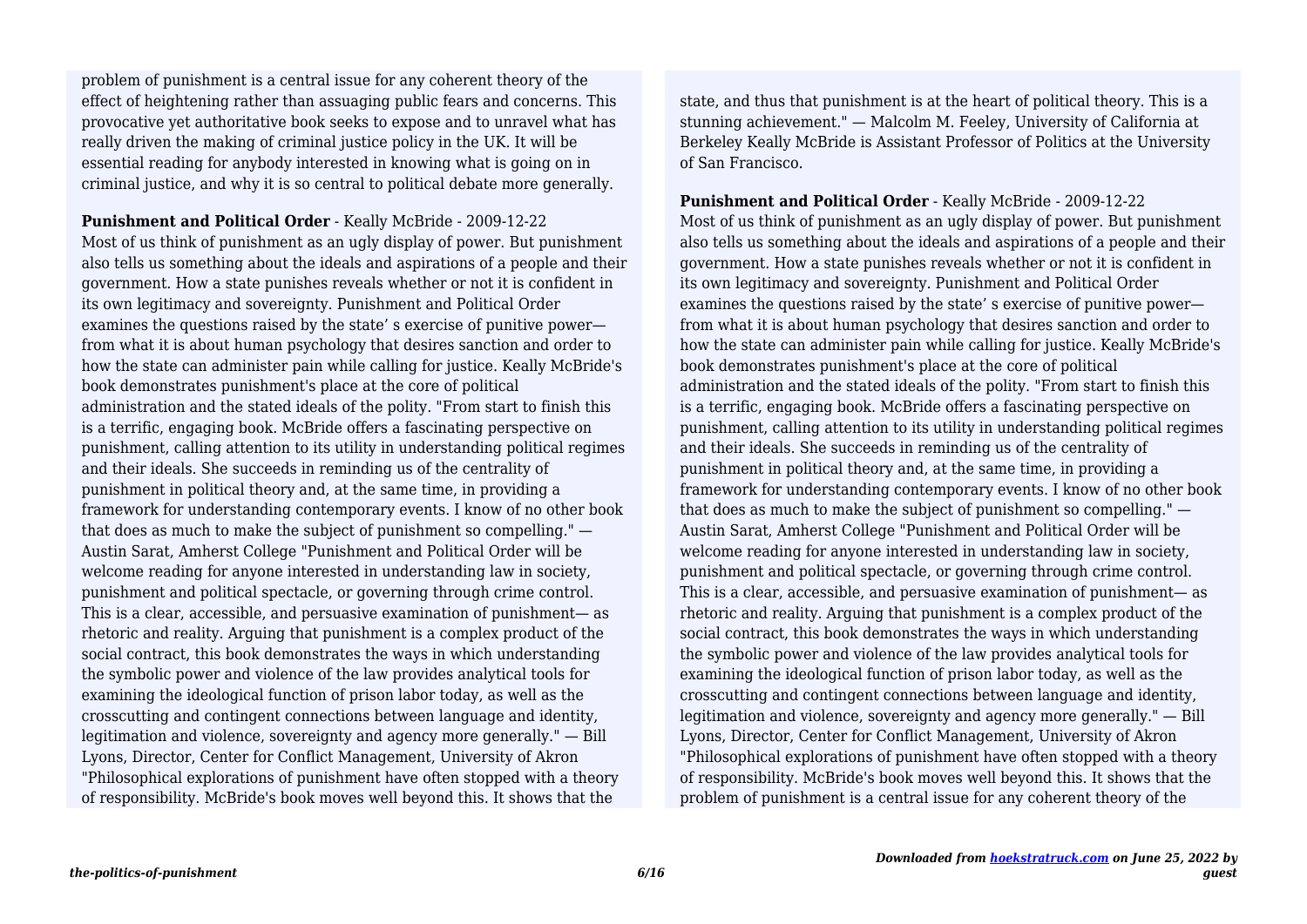effect of heightening rather than assuaging public fears and concerns. This provocative yet authoritative book seeks to expose and to unravel what has really driven the making of criminal justice policy in the UK. It will be essential reading for anybody interested in knowing what is going on in criminal justice, and why it is so central to political debate more generally. problem of punishment is a central issue for any coherent theory of the

**Punishment and Political Order** - Keally McBride - 2009-12-22 Most of us think of punishment as an ugly display of power. But punishment also tells us something about the ideals and aspirations of a people and their government. How a state punishes reveals whether or not it is confident in its own legitimacy and sovereignty. Punishment and Political Order examines the questions raised by the state' s exercise of punitive power from what it is about human psychology that desires sanction and order to how the state can administer pain while calling for justice. Keally McBride's book demonstrates punishment's place at the core of political administration and the stated ideals of the polity. "From start to finish this is a terrific, engaging book. McBride offers a fascinating perspective on punishment, calling attention to its utility in understanding political regimes and their ideals. She succeeds in reminding us of the centrality of punishment in political theory and, at the same time, in providing a framework for understanding contemporary events. I know of no other book that does as much to make the subject of punishment so compelling." — Austin Sarat, Amherst College "Punishment and Political Order will be welcome reading for anyone interested in understanding law in society, punishment and political spectacle, or governing through crime control. This is a clear, accessible, and persuasive examination of punishment— as rhetoric and reality. Arguing that punishment is a complex product of the social contract, this book demonstrates the ways in which understanding the symbolic power and violence of the law provides analytical tools for examining the ideological function of prison labor today, as well as the crosscutting and contingent connections between language and identity, legitimation and violence, sovereignty and agency more generally." — Bill Lyons, Director, Center for Conflict Management, University of Akron "Philosophical explorations of punishment have often stopped with a theory of responsibility. McBride's book moves well beyond this. It shows that the

state, and thus that punishment is at the heart of political theory. This is a stunning achievement." — Malcolm M. Feeley, University of California at Berkeley Keally McBride is Assistant Professor of Politics at the University of San Francisco.

**Punishment and Political Order** - Keally McBride - 2009-12-22 Most of us think of punishment as an ugly display of power. But punishment also tells us something about the ideals and aspirations of a people and their government. How a state punishes reveals whether or not it is confident in its own legitimacy and sovereignty. Punishment and Political Order examines the questions raised by the state' s exercise of punitive power from what it is about human psychology that desires sanction and order to how the state can administer pain while calling for justice. Keally McBride's book demonstrates punishment's place at the core of political administration and the stated ideals of the polity. "From start to finish this is a terrific, engaging book. McBride offers a fascinating perspective on punishment, calling attention to its utility in understanding political regimes and their ideals. She succeeds in reminding us of the centrality of punishment in political theory and, at the same time, in providing a framework for understanding contemporary events. I know of no other book that does as much to make the subject of punishment so compelling." — Austin Sarat, Amherst College "Punishment and Political Order will be welcome reading for anyone interested in understanding law in society, punishment and political spectacle, or governing through crime control. This is a clear, accessible, and persuasive examination of punishment— as rhetoric and reality. Arguing that punishment is a complex product of the social contract, this book demonstrates the ways in which understanding the symbolic power and violence of the law provides analytical tools for examining the ideological function of prison labor today, as well as the crosscutting and contingent connections between language and identity, legitimation and violence, sovereignty and agency more generally." — Bill Lyons, Director, Center for Conflict Management, University of Akron "Philosophical explorations of punishment have often stopped with a theory of responsibility. McBride's book moves well beyond this. It shows that the problem of punishment is a central issue for any coherent theory of the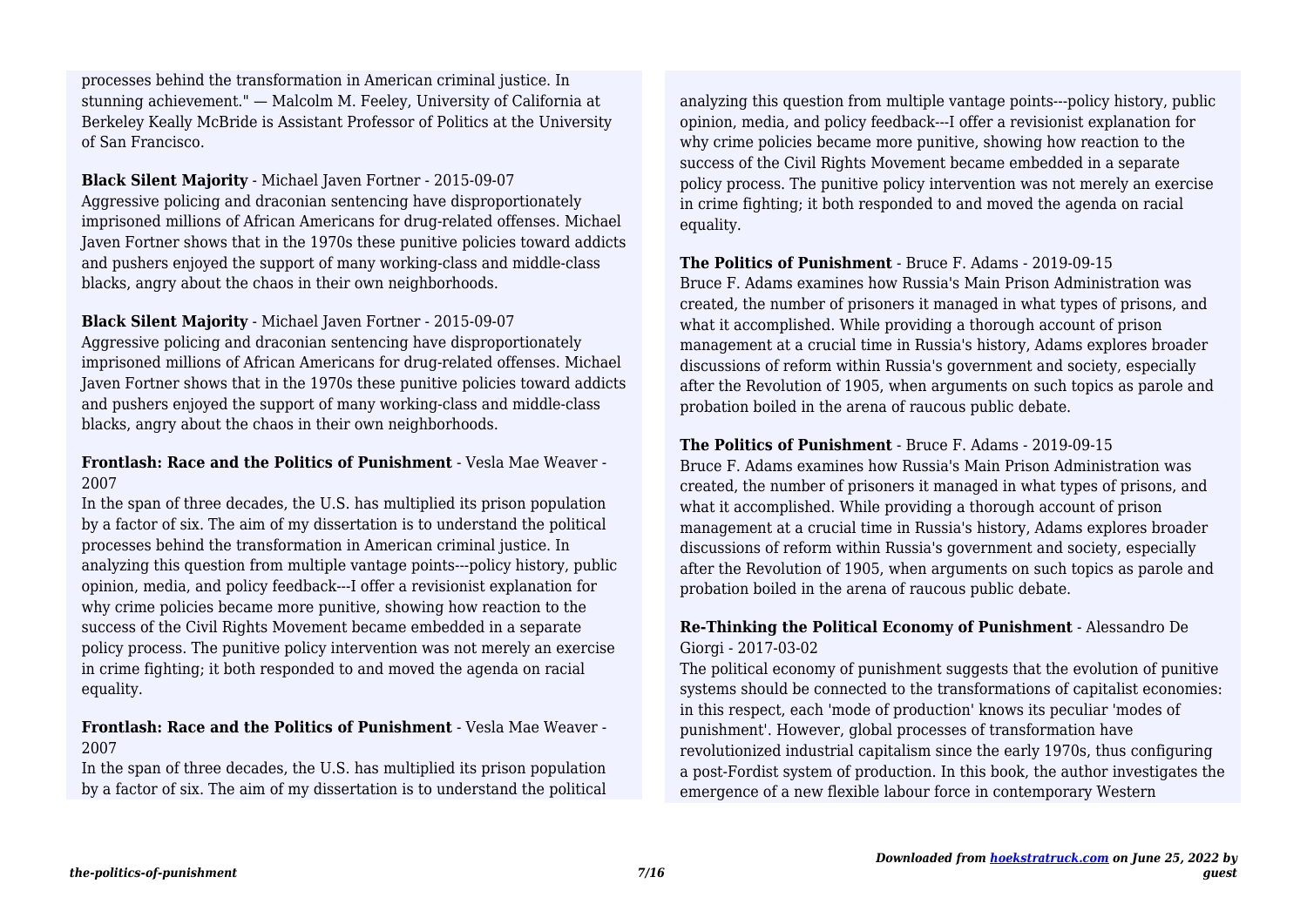stunning achievement." — Malcolm M. Feeley, University of California at Berkeley Keally McBride is Assistant Professor of Politics at the University of San Francisco. processes behind the transformation in American criminal justice. In

**Black Silent Majority** - Michael Javen Fortner - 2015-09-07 Aggressive policing and draconian sentencing have disproportionately imprisoned millions of African Americans for drug-related offenses. Michael Javen Fortner shows that in the 1970s these punitive policies toward addicts and pushers enjoyed the support of many working-class and middle-class blacks, angry about the chaos in their own neighborhoods.

#### **Black Silent Majority** - Michael Javen Fortner - 2015-09-07

Aggressive policing and draconian sentencing have disproportionately imprisoned millions of African Americans for drug-related offenses. Michael Javen Fortner shows that in the 1970s these punitive policies toward addicts and pushers enjoyed the support of many working-class and middle-class blacks, angry about the chaos in their own neighborhoods.

#### **Frontlash: Race and the Politics of Punishment** - Vesla Mae Weaver - 2007

In the span of three decades, the U.S. has multiplied its prison population by a factor of six. The aim of my dissertation is to understand the political processes behind the transformation in American criminal justice. In analyzing this question from multiple vantage points---policy history, public opinion, media, and policy feedback---I offer a revisionist explanation for why crime policies became more punitive, showing how reaction to the success of the Civil Rights Movement became embedded in a separate policy process. The punitive policy intervention was not merely an exercise in crime fighting; it both responded to and moved the agenda on racial equality.

# **Frontlash: Race and the Politics of Punishment** - Vesla Mae Weaver - 2007

In the span of three decades, the U.S. has multiplied its prison population by a factor of six. The aim of my dissertation is to understand the political analyzing this question from multiple vantage points---policy history, public opinion, media, and policy feedback---I offer a revisionist explanation for why crime policies became more punitive, showing how reaction to the success of the Civil Rights Movement became embedded in a separate policy process. The punitive policy intervention was not merely an exercise in crime fighting; it both responded to and moved the agenda on racial equality.

# **The Politics of Punishment** - Bruce F. Adams - 2019-09-15

Bruce F. Adams examines how Russia's Main Prison Administration was created, the number of prisoners it managed in what types of prisons, and what it accomplished. While providing a thorough account of prison management at a crucial time in Russia's history, Adams explores broader discussions of reform within Russia's government and society, especially after the Revolution of 1905, when arguments on such topics as parole and probation boiled in the arena of raucous public debate.

#### **The Politics of Punishment** - Bruce F. Adams - 2019-09-15

Bruce F. Adams examines how Russia's Main Prison Administration was created, the number of prisoners it managed in what types of prisons, and what it accomplished. While providing a thorough account of prison management at a crucial time in Russia's history, Adams explores broader discussions of reform within Russia's government and society, especially after the Revolution of 1905, when arguments on such topics as parole and probation boiled in the arena of raucous public debate.

# **Re-Thinking the Political Economy of Punishment** - Alessandro De Giorgi - 2017-03-02

The political economy of punishment suggests that the evolution of punitive systems should be connected to the transformations of capitalist economies: in this respect, each 'mode of production' knows its peculiar 'modes of punishment'. However, global processes of transformation have revolutionized industrial capitalism since the early 1970s, thus configuring a post-Fordist system of production. In this book, the author investigates the emergence of a new flexible labour force in contemporary Western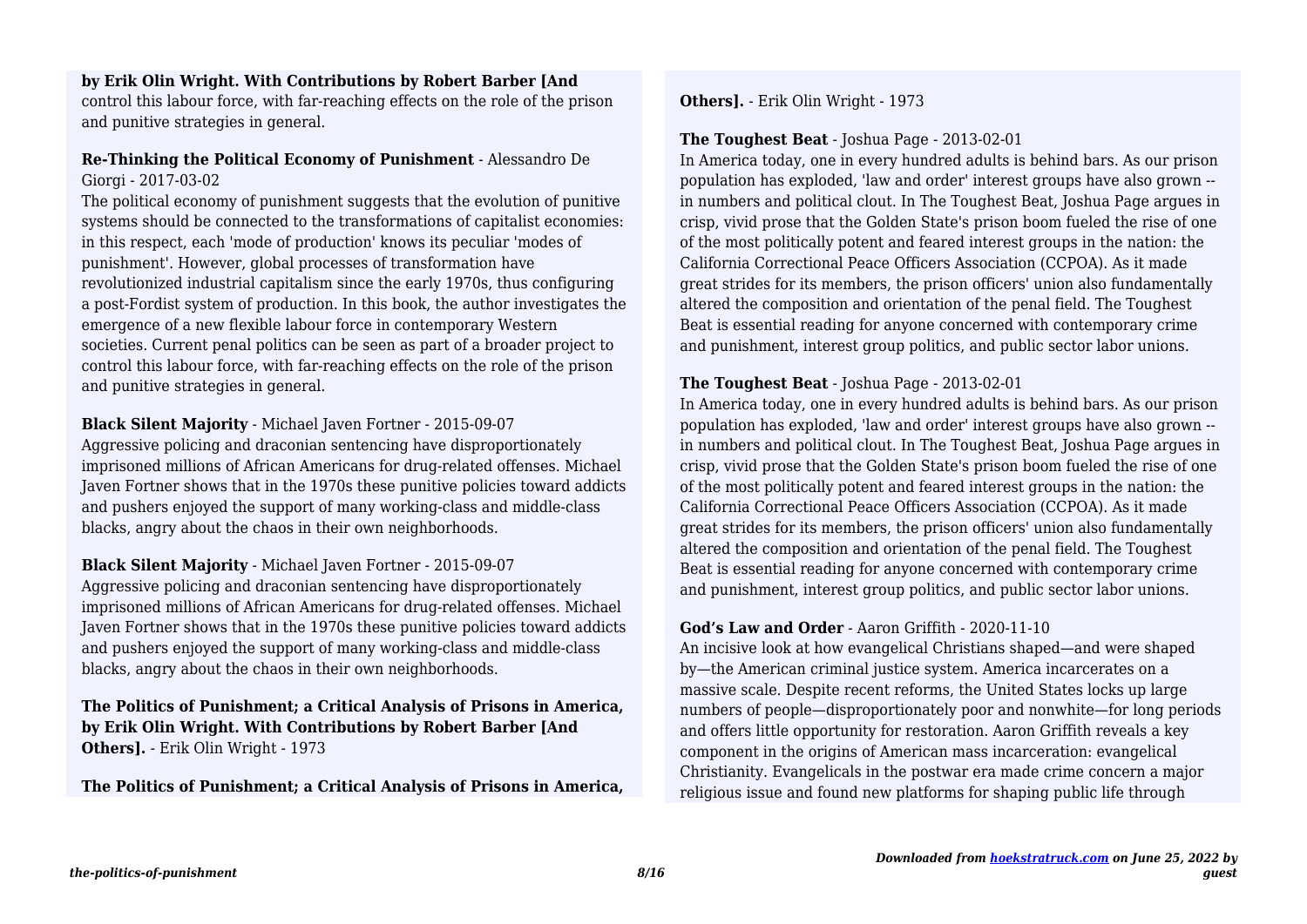## **by Erik Olin Wright. With Contributions by Robert Barber [And**

control this labour force, with far-reaching effects on the role of the prison and punitive strategies in general.

# **Re-Thinking the Political Economy of Punishment** - Alessandro De Giorgi - 2017-03-02

The political economy of punishment suggests that the evolution of punitive systems should be connected to the transformations of capitalist economies: in this respect, each 'mode of production' knows its peculiar 'modes of punishment'. However, global processes of transformation have revolutionized industrial capitalism since the early 1970s, thus configuring a post-Fordist system of production. In this book, the author investigates the emergence of a new flexible labour force in contemporary Western societies. Current penal politics can be seen as part of a broader project to control this labour force, with far-reaching effects on the role of the prison and punitive strategies in general.

**Black Silent Majority** - Michael Javen Fortner - 2015-09-07 Aggressive policing and draconian sentencing have disproportionately imprisoned millions of African Americans for drug-related offenses. Michael Javen Fortner shows that in the 1970s these punitive policies toward addicts and pushers enjoyed the support of many working-class and middle-class blacks, angry about the chaos in their own neighborhoods.

# **Black Silent Majority** - Michael Javen Fortner - 2015-09-07

Aggressive policing and draconian sentencing have disproportionately imprisoned millions of African Americans for drug-related offenses. Michael Javen Fortner shows that in the 1970s these punitive policies toward addicts and pushers enjoyed the support of many working-class and middle-class blacks, angry about the chaos in their own neighborhoods.

# **The Politics of Punishment; a Critical Analysis of Prisons in America, by Erik Olin Wright. With Contributions by Robert Barber [And Others].** - Erik Olin Wright - 1973

**The Politics of Punishment; a Critical Analysis of Prisons in America,**

**Others].** - Erik Olin Wright - 1973

# **The Toughest Beat** - Joshua Page - 2013-02-01

In America today, one in every hundred adults is behind bars. As our prison population has exploded, 'law and order' interest groups have also grown - in numbers and political clout. In The Toughest Beat, Joshua Page argues in crisp, vivid prose that the Golden State's prison boom fueled the rise of one of the most politically potent and feared interest groups in the nation: the California Correctional Peace Officers Association (CCPOA). As it made great strides for its members, the prison officers' union also fundamentally altered the composition and orientation of the penal field. The Toughest Beat is essential reading for anyone concerned with contemporary crime and punishment, interest group politics, and public sector labor unions.

# **The Toughest Beat** - Joshua Page - 2013-02-01

In America today, one in every hundred adults is behind bars. As our prison population has exploded, 'law and order' interest groups have also grown - in numbers and political clout. In The Toughest Beat, Joshua Page argues in crisp, vivid prose that the Golden State's prison boom fueled the rise of one of the most politically potent and feared interest groups in the nation: the California Correctional Peace Officers Association (CCPOA). As it made great strides for its members, the prison officers' union also fundamentally altered the composition and orientation of the penal field. The Toughest Beat is essential reading for anyone concerned with contemporary crime and punishment, interest group politics, and public sector labor unions.

# **God's Law and Order** - Aaron Griffith - 2020-11-10

An incisive look at how evangelical Christians shaped—and were shaped by—the American criminal justice system. America incarcerates on a massive scale. Despite recent reforms, the United States locks up large numbers of people—disproportionately poor and nonwhite—for long periods and offers little opportunity for restoration. Aaron Griffith reveals a key component in the origins of American mass incarceration: evangelical Christianity. Evangelicals in the postwar era made crime concern a major religious issue and found new platforms for shaping public life through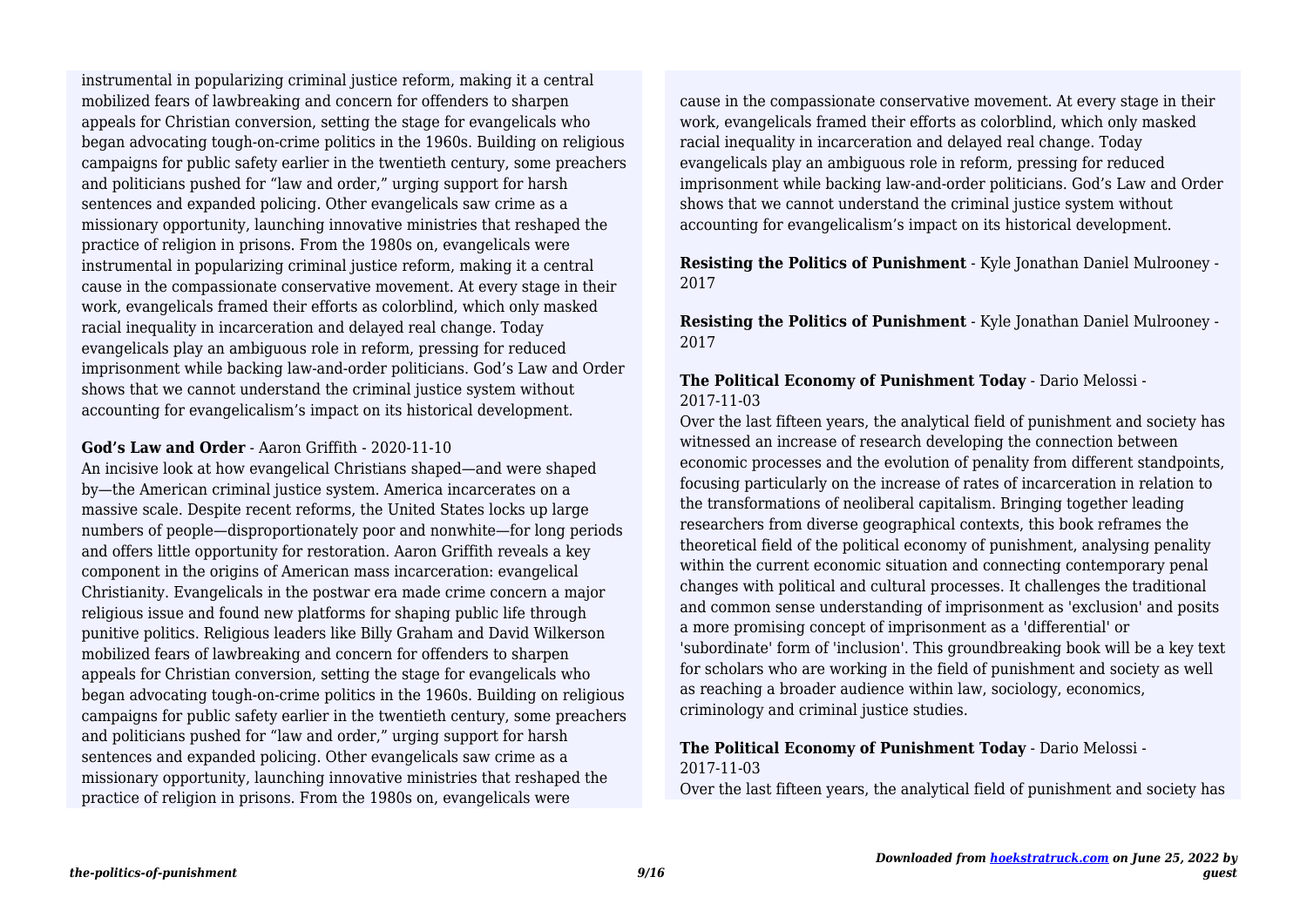mobilized fears of lawbreaking and concern for offenders to sharpen appeals for Christian conversion, setting the stage for evangelicals who began advocating tough-on-crime politics in the 1960s. Building on religious campaigns for public safety earlier in the twentieth century, some preachers and politicians pushed for "law and order," urging support for harsh sentences and expanded policing. Other evangelicals saw crime as a missionary opportunity, launching innovative ministries that reshaped the practice of religion in prisons. From the 1980s on, evangelicals were instrumental in popularizing criminal justice reform, making it a central cause in the compassionate conservative movement. At every stage in their work, evangelicals framed their efforts as colorblind, which only masked racial inequality in incarceration and delayed real change. Today evangelicals play an ambiguous role in reform, pressing for reduced imprisonment while backing law-and-order politicians. God's Law and Order shows that we cannot understand the criminal justice system without accounting for evangelicalism's impact on its historical development. instrumental in popularizing criminal justice reform, making it a central

# **God's Law and Order** - Aaron Griffith - 2020-11-10

An incisive look at how evangelical Christians shaped—and were shaped by—the American criminal justice system. America incarcerates on a massive scale. Despite recent reforms, the United States locks up large numbers of people—disproportionately poor and nonwhite—for long periods and offers little opportunity for restoration. Aaron Griffith reveals a key component in the origins of American mass incarceration: evangelical Christianity. Evangelicals in the postwar era made crime concern a major religious issue and found new platforms for shaping public life through punitive politics. Religious leaders like Billy Graham and David Wilkerson mobilized fears of lawbreaking and concern for offenders to sharpen appeals for Christian conversion, setting the stage for evangelicals who began advocating tough-on-crime politics in the 1960s. Building on religious campaigns for public safety earlier in the twentieth century, some preachers and politicians pushed for "law and order," urging support for harsh sentences and expanded policing. Other evangelicals saw crime as a missionary opportunity, launching innovative ministries that reshaped the practice of religion in prisons. From the 1980s on, evangelicals were

cause in the compassionate conservative movement. At every stage in their work, evangelicals framed their efforts as colorblind, which only masked racial inequality in incarceration and delayed real change. Today evangelicals play an ambiguous role in reform, pressing for reduced imprisonment while backing law-and-order politicians. God's Law and Order shows that we cannot understand the criminal justice system without accounting for evangelicalism's impact on its historical development.

#### **Resisting the Politics of Punishment** - Kyle Jonathan Daniel Mulrooney - 2017

**Resisting the Politics of Punishment** - Kyle Jonathan Daniel Mulrooney - 2017

#### **The Political Economy of Punishment Today** - Dario Melossi - 2017-11-03

Over the last fifteen years, the analytical field of punishment and society has witnessed an increase of research developing the connection between economic processes and the evolution of penality from different standpoints, focusing particularly on the increase of rates of incarceration in relation to the transformations of neoliberal capitalism. Bringing together leading researchers from diverse geographical contexts, this book reframes the theoretical field of the political economy of punishment, analysing penality within the current economic situation and connecting contemporary penal changes with political and cultural processes. It challenges the traditional and common sense understanding of imprisonment as 'exclusion' and posits a more promising concept of imprisonment as a 'differential' or 'subordinate' form of 'inclusion'. This groundbreaking book will be a key text for scholars who are working in the field of punishment and society as well as reaching a broader audience within law, sociology, economics, criminology and criminal justice studies.

#### **The Political Economy of Punishment Today** - Dario Melossi - 2017-11-03

Over the last fifteen years, the analytical field of punishment and society has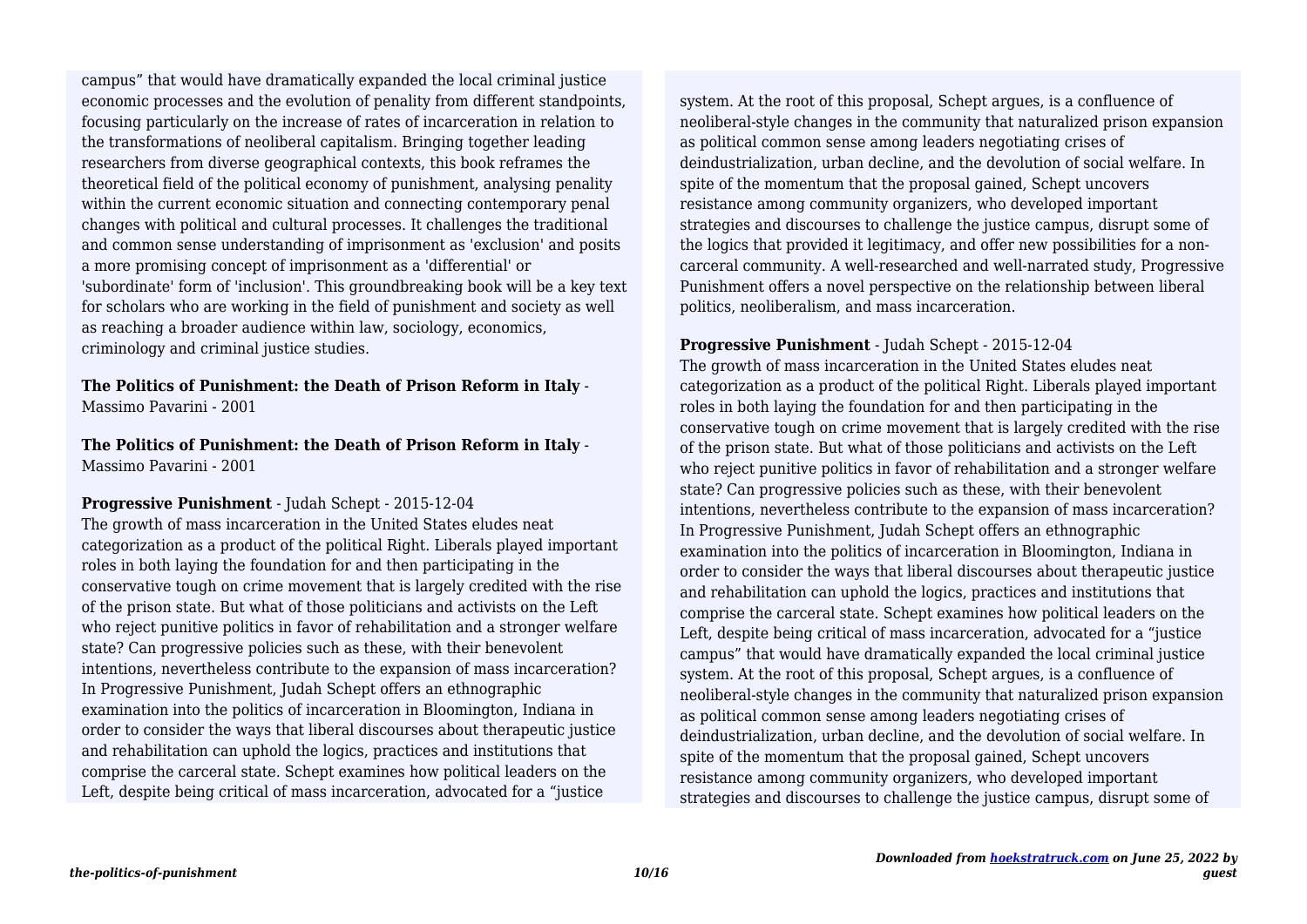economic processes and the evolution of penality from different standpoints, focusing particularly on the increase of rates of incarceration in relation to the transformations of neoliberal capitalism. Bringing together leading researchers from diverse geographical contexts, this book reframes the theoretical field of the political economy of punishment, analysing penality within the current economic situation and connecting contemporary penal changes with political and cultural processes. It challenges the traditional and common sense understanding of imprisonment as 'exclusion' and posits a more promising concept of imprisonment as a 'differential' or 'subordinate' form of 'inclusion'. This groundbreaking book will be a key text for scholars who are working in the field of punishment and society as well as reaching a broader audience within law, sociology, economics, criminology and criminal justice studies. campus" that would have dramatically expanded the local criminal justice

**The Politics of Punishment: the Death of Prison Reform in Italy** - Massimo Pavarini - 2001

**The Politics of Punishment: the Death of Prison Reform in Italy** - Massimo Pavarini - 2001

**Progressive Punishment** - Judah Schept - 2015-12-04 The growth of mass incarceration in the United States eludes neat categorization as a product of the political Right. Liberals played important roles in both laying the foundation for and then participating in the conservative tough on crime movement that is largely credited with the rise of the prison state. But what of those politicians and activists on the Left who reject punitive politics in favor of rehabilitation and a stronger welfare state? Can progressive policies such as these, with their benevolent intentions, nevertheless contribute to the expansion of mass incarceration? In Progressive Punishment, Judah Schept offers an ethnographic examination into the politics of incarceration in Bloomington, Indiana in order to consider the ways that liberal discourses about therapeutic justice and rehabilitation can uphold the logics, practices and institutions that comprise the carceral state. Schept examines how political leaders on the Left, despite being critical of mass incarceration, advocated for a "justice

system. At the root of this proposal, Schept argues, is a confluence of neoliberal-style changes in the community that naturalized prison expansion as political common sense among leaders negotiating crises of deindustrialization, urban decline, and the devolution of social welfare. In spite of the momentum that the proposal gained, Schept uncovers resistance among community organizers, who developed important strategies and discourses to challenge the justice campus, disrupt some of the logics that provided it legitimacy, and offer new possibilities for a noncarceral community. A well-researched and well-narrated study, Progressive Punishment offers a novel perspective on the relationship between liberal politics, neoliberalism, and mass incarceration.

#### **Progressive Punishment** - Judah Schept - 2015-12-04

The growth of mass incarceration in the United States eludes neat categorization as a product of the political Right. Liberals played important roles in both laying the foundation for and then participating in the conservative tough on crime movement that is largely credited with the rise of the prison state. But what of those politicians and activists on the Left who reject punitive politics in favor of rehabilitation and a stronger welfare state? Can progressive policies such as these, with their benevolent intentions, nevertheless contribute to the expansion of mass incarceration? In Progressive Punishment, Judah Schept offers an ethnographic examination into the politics of incarceration in Bloomington, Indiana in order to consider the ways that liberal discourses about therapeutic justice and rehabilitation can uphold the logics, practices and institutions that comprise the carceral state. Schept examines how political leaders on the Left, despite being critical of mass incarceration, advocated for a "justice campus" that would have dramatically expanded the local criminal justice system. At the root of this proposal, Schept argues, is a confluence of neoliberal-style changes in the community that naturalized prison expansion as political common sense among leaders negotiating crises of deindustrialization, urban decline, and the devolution of social welfare. In spite of the momentum that the proposal gained, Schept uncovers resistance among community organizers, who developed important strategies and discourses to challenge the justice campus, disrupt some of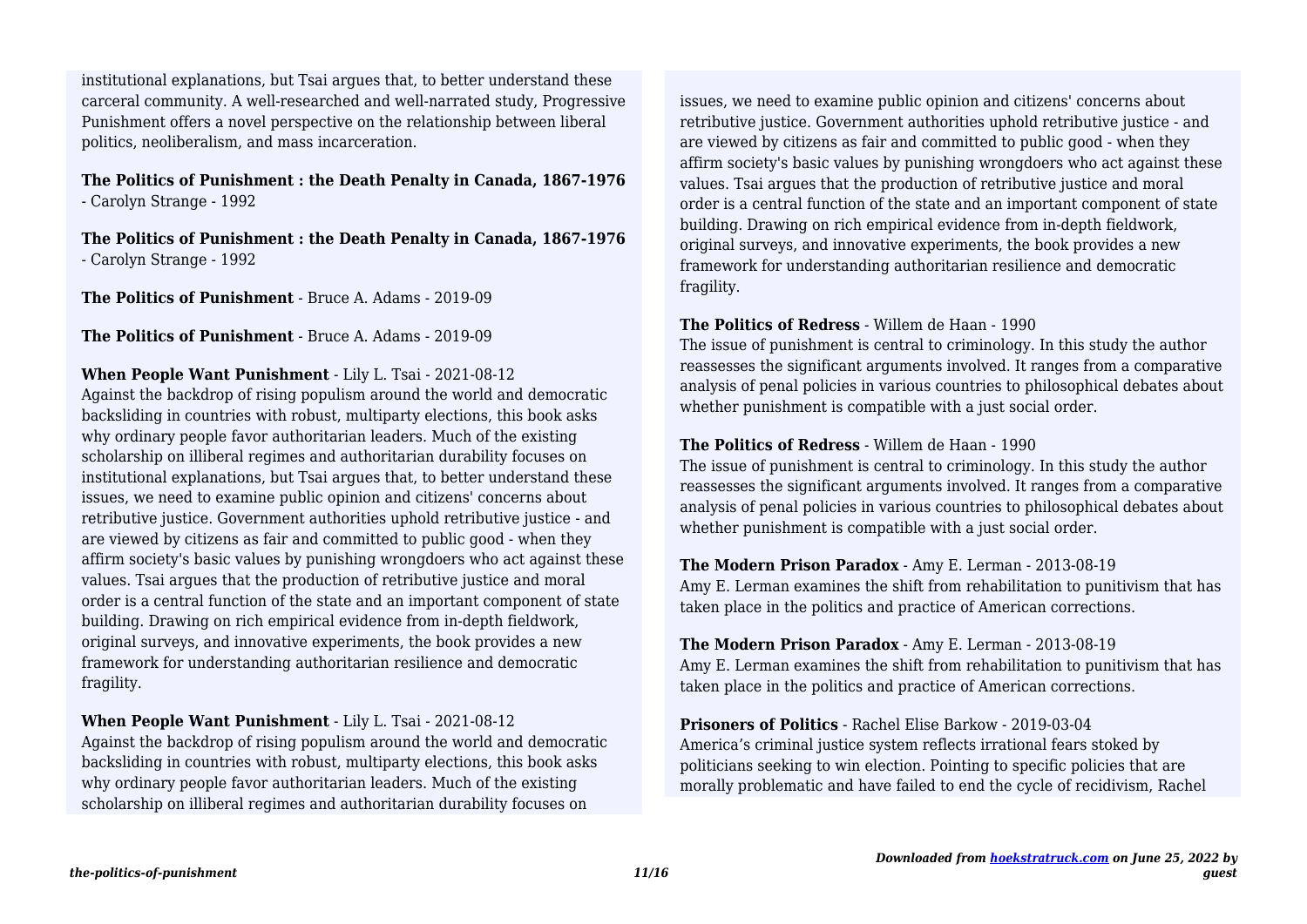carceral community. A well-researched and well-narrated study, Progressive Punishment offers a novel perspective on the relationship between liberal politics, neoliberalism, and mass incarceration. institutional explanations, but Tsai argues that, to better understand these

# **The Politics of Punishment : the Death Penalty in Canada, 1867-1976** - Carolyn Strange - 1992

**The Politics of Punishment : the Death Penalty in Canada, 1867-1976** - Carolyn Strange - 1992

**The Politics of Punishment** - Bruce A. Adams - 2019-09

**The Politics of Punishment** - Bruce A. Adams - 2019-09

#### **When People Want Punishment** - Lily L. Tsai - 2021-08-12

Against the backdrop of rising populism around the world and democratic backsliding in countries with robust, multiparty elections, this book asks why ordinary people favor authoritarian leaders. Much of the existing scholarship on illiberal regimes and authoritarian durability focuses on institutional explanations, but Tsai argues that, to better understand these issues, we need to examine public opinion and citizens' concerns about retributive justice. Government authorities uphold retributive justice - and are viewed by citizens as fair and committed to public good - when they affirm society's basic values by punishing wrongdoers who act against these values. Tsai argues that the production of retributive justice and moral order is a central function of the state and an important component of state building. Drawing on rich empirical evidence from in-depth fieldwork, original surveys, and innovative experiments, the book provides a new framework for understanding authoritarian resilience and democratic fragility.

**When People Want Punishment** - Lily L. Tsai - 2021-08-12 Against the backdrop of rising populism around the world and democratic backsliding in countries with robust, multiparty elections, this book asks why ordinary people favor authoritarian leaders. Much of the existing scholarship on illiberal regimes and authoritarian durability focuses on

issues, we need to examine public opinion and citizens' concerns about retributive justice. Government authorities uphold retributive justice - and are viewed by citizens as fair and committed to public good - when they affirm society's basic values by punishing wrongdoers who act against these values. Tsai argues that the production of retributive justice and moral order is a central function of the state and an important component of state building. Drawing on rich empirical evidence from in-depth fieldwork, original surveys, and innovative experiments, the book provides a new framework for understanding authoritarian resilience and democratic fragility.

#### **The Politics of Redress** - Willem de Haan - 1990

The issue of punishment is central to criminology. In this study the author reassesses the significant arguments involved. It ranges from a comparative analysis of penal policies in various countries to philosophical debates about whether punishment is compatible with a just social order.

#### **The Politics of Redress** - Willem de Haan - 1990

The issue of punishment is central to criminology. In this study the author reassesses the significant arguments involved. It ranges from a comparative analysis of penal policies in various countries to philosophical debates about whether punishment is compatible with a just social order.

# **The Modern Prison Paradox** - Amy E. Lerman - 2013-08-19

Amy E. Lerman examines the shift from rehabilitation to punitivism that has taken place in the politics and practice of American corrections.

**The Modern Prison Paradox** - Amy E. Lerman - 2013-08-19 Amy E. Lerman examines the shift from rehabilitation to punitivism that has taken place in the politics and practice of American corrections.

**Prisoners of Politics** - Rachel Elise Barkow - 2019-03-04 America's criminal justice system reflects irrational fears stoked by politicians seeking to win election. Pointing to specific policies that are morally problematic and have failed to end the cycle of recidivism, Rachel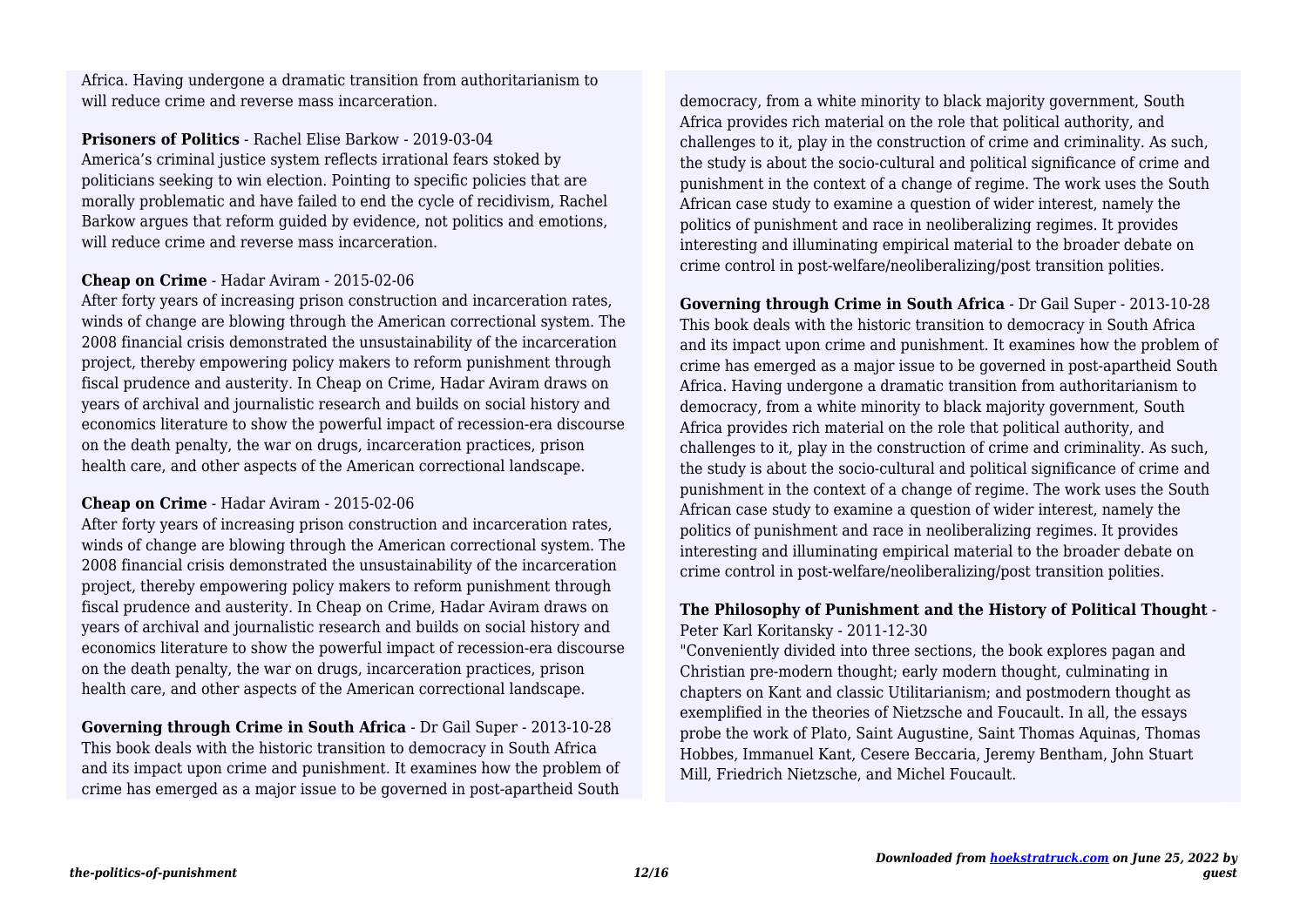will reduce crime and reverse mass incarceration. Africa. Having undergone a dramatic transition from authoritarianism to

**Prisoners of Politics** - Rachel Elise Barkow - 2019-03-04 America's criminal justice system reflects irrational fears stoked by politicians seeking to win election. Pointing to specific policies that are morally problematic and have failed to end the cycle of recidivism, Rachel Barkow argues that reform guided by evidence, not politics and emotions, will reduce crime and reverse mass incarceration.

#### **Cheap on Crime** - Hadar Aviram - 2015-02-06

After forty years of increasing prison construction and incarceration rates, winds of change are blowing through the American correctional system. The 2008 financial crisis demonstrated the unsustainability of the incarceration project, thereby empowering policy makers to reform punishment through fiscal prudence and austerity. In Cheap on Crime, Hadar Aviram draws on years of archival and journalistic research and builds on social history and economics literature to show the powerful impact of recession-era discourse on the death penalty, the war on drugs, incarceration practices, prison health care, and other aspects of the American correctional landscape.

# **Cheap on Crime** - Hadar Aviram - 2015-02-06

After forty years of increasing prison construction and incarceration rates, winds of change are blowing through the American correctional system. The 2008 financial crisis demonstrated the unsustainability of the incarceration project, thereby empowering policy makers to reform punishment through fiscal prudence and austerity. In Cheap on Crime, Hadar Aviram draws on years of archival and journalistic research and builds on social history and economics literature to show the powerful impact of recession-era discourse on the death penalty, the war on drugs, incarceration practices, prison health care, and other aspects of the American correctional landscape.

**Governing through Crime in South Africa** - Dr Gail Super - 2013-10-28 This book deals with the historic transition to democracy in South Africa and its impact upon crime and punishment. It examines how the problem of crime has emerged as a major issue to be governed in post-apartheid South democracy, from a white minority to black majority government, South Africa provides rich material on the role that political authority, and challenges to it, play in the construction of crime and criminality. As such, the study is about the socio-cultural and political significance of crime and punishment in the context of a change of regime. The work uses the South African case study to examine a question of wider interest, namely the politics of punishment and race in neoliberalizing regimes. It provides interesting and illuminating empirical material to the broader debate on crime control in post-welfare/neoliberalizing/post transition polities.

**Governing through Crime in South Africa** - Dr Gail Super - 2013-10-28 This book deals with the historic transition to democracy in South Africa and its impact upon crime and punishment. It examines how the problem of crime has emerged as a major issue to be governed in post-apartheid South Africa. Having undergone a dramatic transition from authoritarianism to democracy, from a white minority to black majority government, South Africa provides rich material on the role that political authority, and challenges to it, play in the construction of crime and criminality. As such, the study is about the socio-cultural and political significance of crime and punishment in the context of a change of regime. The work uses the South African case study to examine a question of wider interest, namely the politics of punishment and race in neoliberalizing regimes. It provides interesting and illuminating empirical material to the broader debate on crime control in post-welfare/neoliberalizing/post transition polities.

# **The Philosophy of Punishment and the History of Political Thought** - Peter Karl Koritansky - 2011-12-30

"Conveniently divided into three sections, the book explores pagan and Christian pre-modern thought; early modern thought, culminating in chapters on Kant and classic Utilitarianism; and postmodern thought as exemplified in the theories of Nietzsche and Foucault. In all, the essays probe the work of Plato, Saint Augustine, Saint Thomas Aquinas, Thomas Hobbes, Immanuel Kant, Cesere Beccaria, Jeremy Bentham, John Stuart Mill, Friedrich Nietzsche, and Michel Foucault.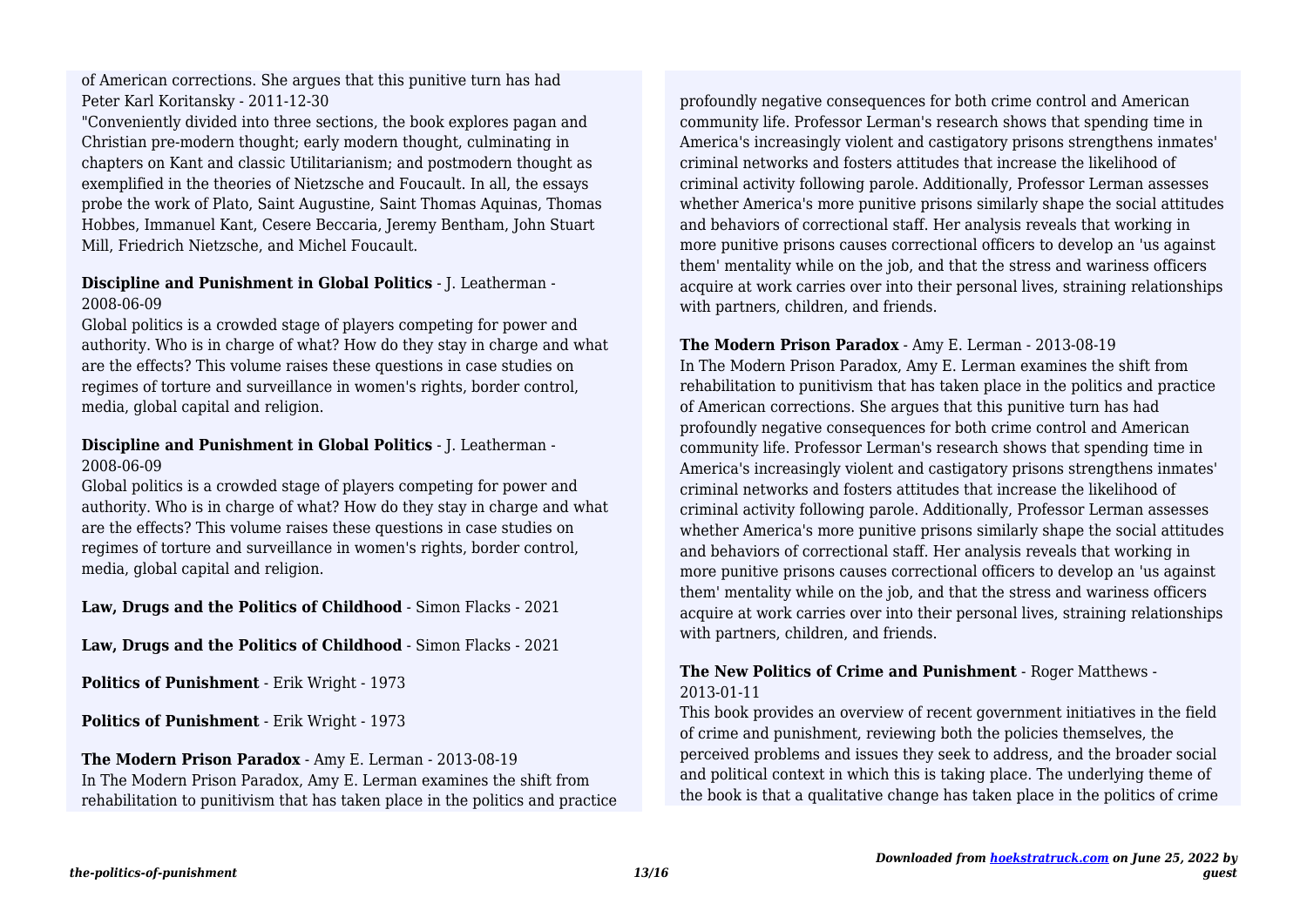Peter Karl Koritansky - 2011-12-30 of American corrections. She argues that this punitive turn has had

"Conveniently divided into three sections, the book explores pagan and Christian pre-modern thought; early modern thought, culminating in chapters on Kant and classic Utilitarianism; and postmodern thought as exemplified in the theories of Nietzsche and Foucault. In all, the essays probe the work of Plato, Saint Augustine, Saint Thomas Aquinas, Thomas Hobbes, Immanuel Kant, Cesere Beccaria, Jeremy Bentham, John Stuart Mill, Friedrich Nietzsche, and Michel Foucault.

# **Discipline and Punishment in Global Politics** - J. Leatherman - 2008-06-09

Global politics is a crowded stage of players competing for power and authority. Who is in charge of what? How do they stay in charge and what are the effects? This volume raises these questions in case studies on regimes of torture and surveillance in women's rights, border control, media, global capital and religion.

# **Discipline and Punishment in Global Politics** - J. Leatherman - 2008-06-09

Global politics is a crowded stage of players competing for power and authority. Who is in charge of what? How do they stay in charge and what are the effects? This volume raises these questions in case studies on regimes of torture and surveillance in women's rights, border control, media, global capital and religion.

# **Law, Drugs and the Politics of Childhood** - Simon Flacks - 2021

**Law, Drugs and the Politics of Childhood** - Simon Flacks - 2021

**Politics of Punishment** - Erik Wright - 1973

**Politics of Punishment** - Erik Wright - 1973

#### **The Modern Prison Paradox** - Amy E. Lerman - 2013-08-19 In The Modern Prison Paradox, Amy E. Lerman examines the shift from rehabilitation to punitivism that has taken place in the politics and practice

profoundly negative consequences for both crime control and American community life. Professor Lerman's research shows that spending time in America's increasingly violent and castigatory prisons strengthens inmates' criminal networks and fosters attitudes that increase the likelihood of criminal activity following parole. Additionally, Professor Lerman assesses whether America's more punitive prisons similarly shape the social attitudes and behaviors of correctional staff. Her analysis reveals that working in more punitive prisons causes correctional officers to develop an 'us against them' mentality while on the job, and that the stress and wariness officers acquire at work carries over into their personal lives, straining relationships with partners, children, and friends.

#### **The Modern Prison Paradox** - Amy E. Lerman - 2013-08-19

In The Modern Prison Paradox, Amy E. Lerman examines the shift from rehabilitation to punitivism that has taken place in the politics and practice of American corrections. She argues that this punitive turn has had profoundly negative consequences for both crime control and American community life. Professor Lerman's research shows that spending time in America's increasingly violent and castigatory prisons strengthens inmates' criminal networks and fosters attitudes that increase the likelihood of criminal activity following parole. Additionally, Professor Lerman assesses whether America's more punitive prisons similarly shape the social attitudes and behaviors of correctional staff. Her analysis reveals that working in more punitive prisons causes correctional officers to develop an 'us against them' mentality while on the job, and that the stress and wariness officers acquire at work carries over into their personal lives, straining relationships with partners, children, and friends.

#### **The New Politics of Crime and Punishment** - Roger Matthews - 2013-01-11

This book provides an overview of recent government initiatives in the field of crime and punishment, reviewing both the policies themselves, the perceived problems and issues they seek to address, and the broader social and political context in which this is taking place. The underlying theme of the book is that a qualitative change has taken place in the politics of crime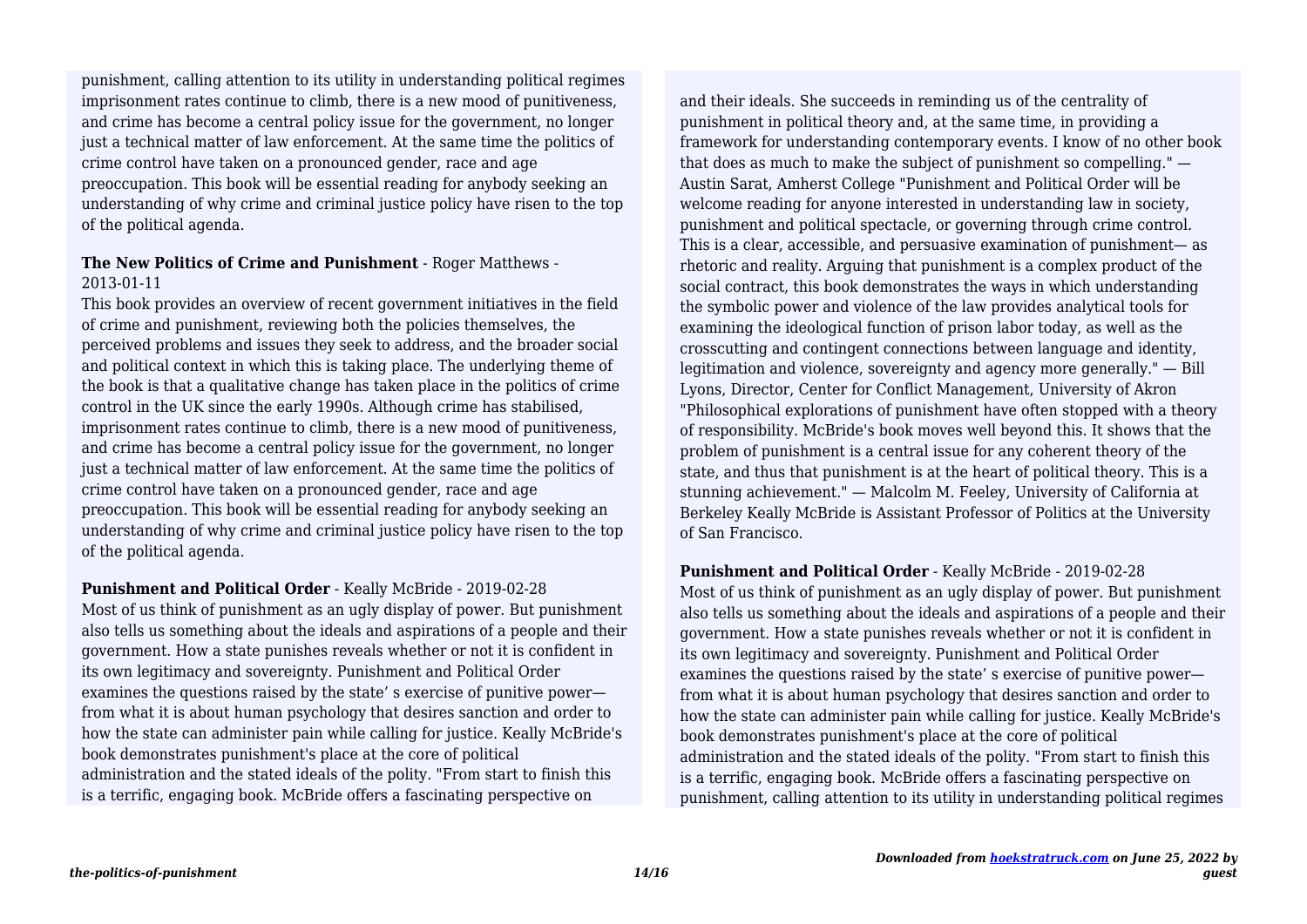imprisonment rates continue to climb, there is a new mood of punitiveness, and crime has become a central policy issue for the government, no longer just a technical matter of law enforcement. At the same time the politics of crime control have taken on a pronounced gender, race and age preoccupation. This book will be essential reading for anybody seeking an understanding of why crime and criminal justice policy have risen to the top of the political agenda. punishment, calling attention to its utility in understanding political regimes

# **The New Politics of Crime and Punishment** - Roger Matthews - 2013-01-11

This book provides an overview of recent government initiatives in the field of crime and punishment, reviewing both the policies themselves, the perceived problems and issues they seek to address, and the broader social and political context in which this is taking place. The underlying theme of the book is that a qualitative change has taken place in the politics of crime control in the UK since the early 1990s. Although crime has stabilised, imprisonment rates continue to climb, there is a new mood of punitiveness, and crime has become a central policy issue for the government, no longer just a technical matter of law enforcement. At the same time the politics of crime control have taken on a pronounced gender, race and age preoccupation. This book will be essential reading for anybody seeking an understanding of why crime and criminal justice policy have risen to the top of the political agenda.

**Punishment and Political Order** - Keally McBride - 2019-02-28 Most of us think of punishment as an ugly display of power. But punishment also tells us something about the ideals and aspirations of a people and their government. How a state punishes reveals whether or not it is confident in its own legitimacy and sovereignty. Punishment and Political Order examines the questions raised by the state' s exercise of punitive power from what it is about human psychology that desires sanction and order to how the state can administer pain while calling for justice. Keally McBride's book demonstrates punishment's place at the core of political administration and the stated ideals of the polity. "From start to finish this is a terrific, engaging book. McBride offers a fascinating perspective on

and their ideals. She succeeds in reminding us of the centrality of punishment in political theory and, at the same time, in providing a framework for understanding contemporary events. I know of no other book that does as much to make the subject of punishment so compelling." — Austin Sarat, Amherst College "Punishment and Political Order will be welcome reading for anyone interested in understanding law in society, punishment and political spectacle, or governing through crime control. This is a clear, accessible, and persuasive examination of punishment— as rhetoric and reality. Arguing that punishment is a complex product of the social contract, this book demonstrates the ways in which understanding the symbolic power and violence of the law provides analytical tools for examining the ideological function of prison labor today, as well as the crosscutting and contingent connections between language and identity, legitimation and violence, sovereignty and agency more generally." — Bill Lyons, Director, Center for Conflict Management, University of Akron "Philosophical explorations of punishment have often stopped with a theory of responsibility. McBride's book moves well beyond this. It shows that the problem of punishment is a central issue for any coherent theory of the state, and thus that punishment is at the heart of political theory. This is a stunning achievement." — Malcolm M. Feeley, University of California at Berkeley Keally McBride is Assistant Professor of Politics at the University of San Francisco.

# **Punishment and Political Order** - Keally McBride - 2019-02-28

Most of us think of punishment as an ugly display of power. But punishment also tells us something about the ideals and aspirations of a people and their government. How a state punishes reveals whether or not it is confident in its own legitimacy and sovereignty. Punishment and Political Order examines the questions raised by the state' s exercise of punitive power from what it is about human psychology that desires sanction and order to how the state can administer pain while calling for justice. Keally McBride's book demonstrates punishment's place at the core of political administration and the stated ideals of the polity. "From start to finish this is a terrific, engaging book. McBride offers a fascinating perspective on punishment, calling attention to its utility in understanding political regimes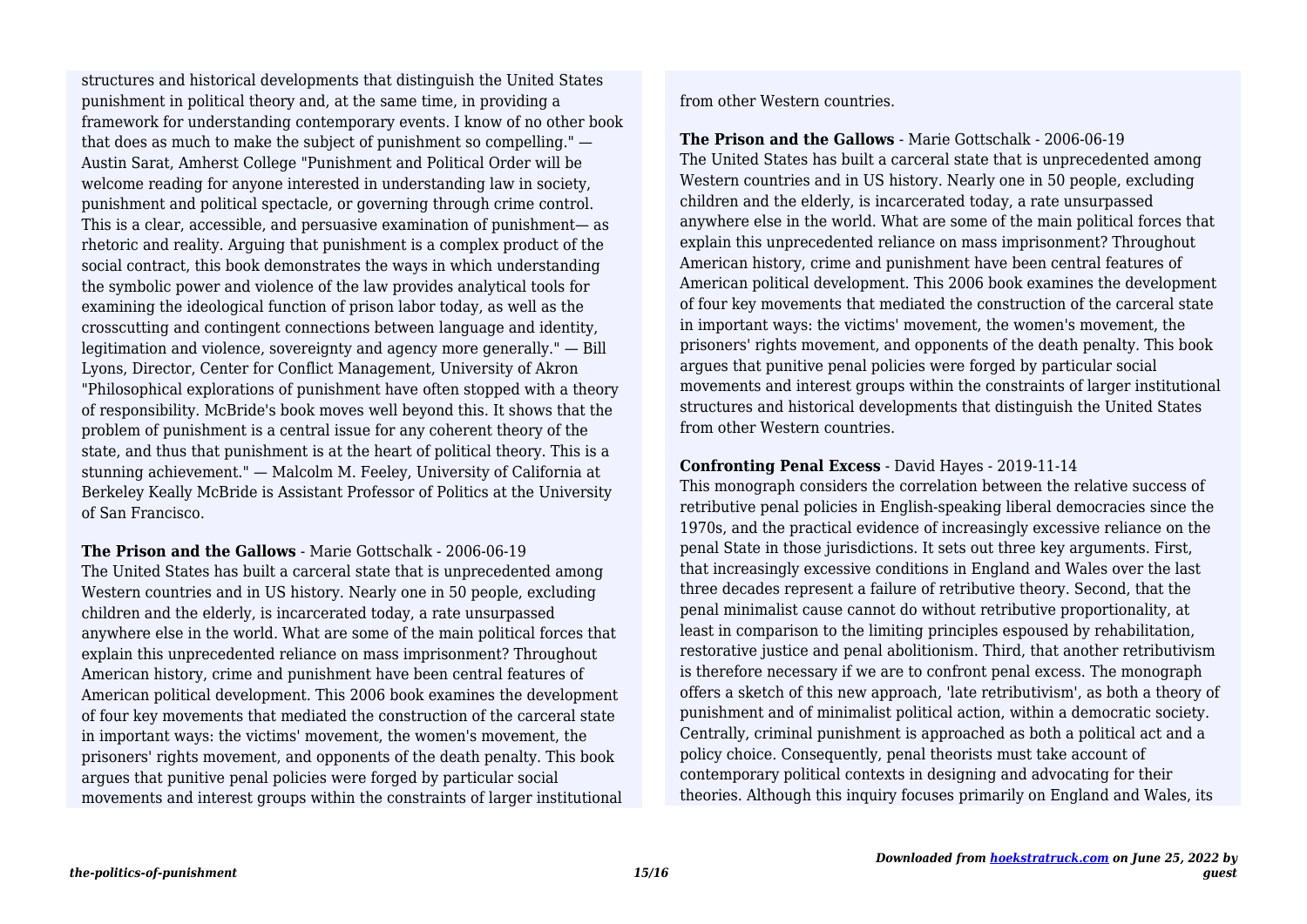punishment in political theory and, at the same time, in providing a framework for understanding contemporary events. I know of no other book that does as much to make the subject of punishment so compelling." — Austin Sarat, Amherst College "Punishment and Political Order will be welcome reading for anyone interested in understanding law in society, punishment and political spectacle, or governing through crime control. This is a clear, accessible, and persuasive examination of punishment— as rhetoric and reality. Arguing that punishment is a complex product of the social contract, this book demonstrates the ways in which understanding the symbolic power and violence of the law provides analytical tools for examining the ideological function of prison labor today, as well as the crosscutting and contingent connections between language and identity, legitimation and violence, sovereignty and agency more generally." — Bill Lyons, Director, Center for Conflict Management, University of Akron "Philosophical explorations of punishment have often stopped with a theory of responsibility. McBride's book moves well beyond this. It shows that the problem of punishment is a central issue for any coherent theory of the state, and thus that punishment is at the heart of political theory. This is a stunning achievement." — Malcolm M. Feeley, University of California at Berkeley Keally McBride is Assistant Professor of Politics at the University of San Francisco. structures and historical developments that distinguish the United States

**The Prison and the Gallows** - Marie Gottschalk - 2006-06-19 The United States has built a carceral state that is unprecedented among Western countries and in US history. Nearly one in 50 people, excluding children and the elderly, is incarcerated today, a rate unsurpassed anywhere else in the world. What are some of the main political forces that explain this unprecedented reliance on mass imprisonment? Throughout American history, crime and punishment have been central features of American political development. This 2006 book examines the development of four key movements that mediated the construction of the carceral state in important ways: the victims' movement, the women's movement, the prisoners' rights movement, and opponents of the death penalty. This book argues that punitive penal policies were forged by particular social movements and interest groups within the constraints of larger institutional from other Western countries.

**The Prison and the Gallows** - Marie Gottschalk - 2006-06-19 The United States has built a carceral state that is unprecedented among Western countries and in US history. Nearly one in 50 people, excluding children and the elderly, is incarcerated today, a rate unsurpassed anywhere else in the world. What are some of the main political forces that explain this unprecedented reliance on mass imprisonment? Throughout American history, crime and punishment have been central features of American political development. This 2006 book examines the development of four key movements that mediated the construction of the carceral state in important ways: the victims' movement, the women's movement, the prisoners' rights movement, and opponents of the death penalty. This book argues that punitive penal policies were forged by particular social movements and interest groups within the constraints of larger institutional structures and historical developments that distinguish the United States from other Western countries.

#### **Confronting Penal Excess** - David Hayes - 2019-11-14

This monograph considers the correlation between the relative success of retributive penal policies in English-speaking liberal democracies since the 1970s, and the practical evidence of increasingly excessive reliance on the penal State in those jurisdictions. It sets out three key arguments. First, that increasingly excessive conditions in England and Wales over the last three decades represent a failure of retributive theory. Second, that the penal minimalist cause cannot do without retributive proportionality, at least in comparison to the limiting principles espoused by rehabilitation, restorative justice and penal abolitionism. Third, that another retributivism is therefore necessary if we are to confront penal excess. The monograph offers a sketch of this new approach, 'late retributivism', as both a theory of punishment and of minimalist political action, within a democratic society. Centrally, criminal punishment is approached as both a political act and a policy choice. Consequently, penal theorists must take account of contemporary political contexts in designing and advocating for their theories. Although this inquiry focuses primarily on England and Wales, its